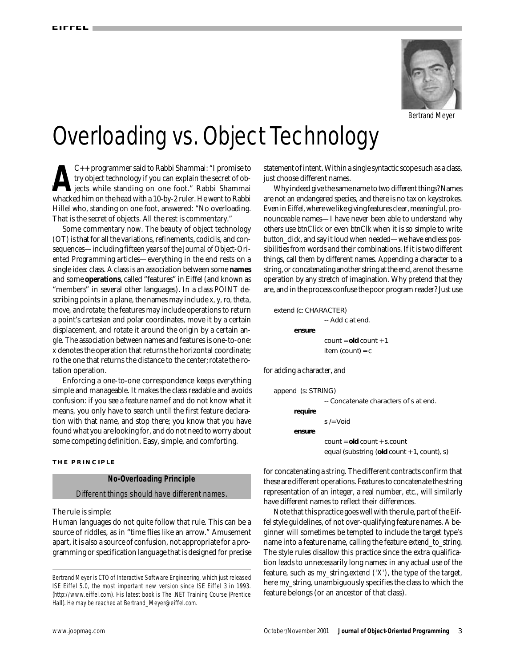

Bertrand Meyer

# Overloading vs. Object Technology

**T**<br>Whacl<br>That C++ programmer said to Rabbi Shammai: "I promise to try object technology if you can explain the secret of objects while standing on one foot." Rabbi Shammai whacked him on the head with a 10-by-2 ruler. He went to Rabbi C++ programmer said to Rabbi Shammai: "I promise to try object technology if you can explain the secret of objects while standing on one foot." Rabbi Shammai Hillel who, standing on one foot, answered: "No overloading. That is the secret of objects. All the rest is commentary."

Some commentary now. The beauty of object technology (OT) is that for all the variations, refinements, codicils, and consequences—including fifteen years of the *Journal of Object-Oriented Programming* articles—everything in the end rests on a single idea: class. A class is an association between some **names** and some **operations**, called "features" in Eiffel (and known as "members" in several other languages). In a class *POINT* describing points in a plane, the names may include *x, y, ro, theta, move*, and *rotate;* the features may include operations to return a point's cartesian and polar coordinates, move it by a certain displacement, and rotate it around the origin by a certain angle. The association between names and features is one-to-one: *x* denotes the operation that returns the horizontal coordinate; *ro* the one that returns the distance to the center; *rotate* the rotation operation.

Enforcing a one-to-one correspondence keeps everything simple and manageable. It makes the class readable and avoids confusion: if you see a feature name *f* and do not know what it means, you only have to search until the first feature declaration with that name, and stop there; you know that you have found what you are looking for, and do not need to worry about some competing definition. Easy, simple, and comforting.

#### **THE PRINCIPLE**

#### **No-Overloading Principle**

Different things should have different names.

The rule is simple:

Human languages do not quite follow that rule. This can be a source of riddles, as in "time flies like an arrow." Amusement apart, it is also a source of confusion, not appropriate for a programming or specification language that is designed for precise statement of intent. Within a single syntactic scope such as a class, just choose different names.

Why indeed give the same name to two different things? Names are not an endangered species, and there is no tax on keystrokes. Even in Eiffel, where we like giving features clear, meaningful, pronounceable names—I have never been able to understand why others use *btnClick* or even *btnClk* when it is so simple to write *button click*, and say it loud when needed—we have endless possibilities from words and their combinations. If it is two different things, call them by different names. Appending a character to a string, or concatenating another string at the end, are not the same operation by any stretch of imagination. Why pretend that they are, and in the process confuse the poor program reader? Just use

*extend (c: CHARACTER)* -- Add *c* at end. **e n s u r e**  $count = old count + 1$ *item (count)* = *c*

for adding a character, and

```
append (s: STRING)
                   -- Concatenate characters of s at end.
       r e quire
                   s /= V o i d
       ensure
                   c o u n t = old c o u n t + s . c o u n t
                   equal (substring (old count + 1, count), s)
```
for concatenating a string. The different contracts confirm that these are different operations. Features to concatenate the string representation of an integer, a real number, etc., will similarly have different names to reflect their differences.

Note that this practice goes well with the rule, part of the Eiffel style guidelines, of not over-qualifying feature names. A beginner will sometimes be tempted to include the target type's name into a feature name, calling the feature *extend\_to\_string*. The style rules disallow this practice since the extra qualification leads to unnecessarily long names: in any actual use of the feature, such as *my\_string.extend ('X')*, the type of the target, here *my\_string*, unambiguously specifies the class to which the feature belongs (or an ancestor of that class).

Bertrand Meyer is CTO of Interactive Software Engineering, which just released ISE Eiffel 5.0, the most important new version since ISE Eiffel 3 in 1993. (http://www.eiffel.com). His latest book is *The .NET Training Course* (Prentice Hall). He may be reached at Bertrand\_Meyer@eiffel.com.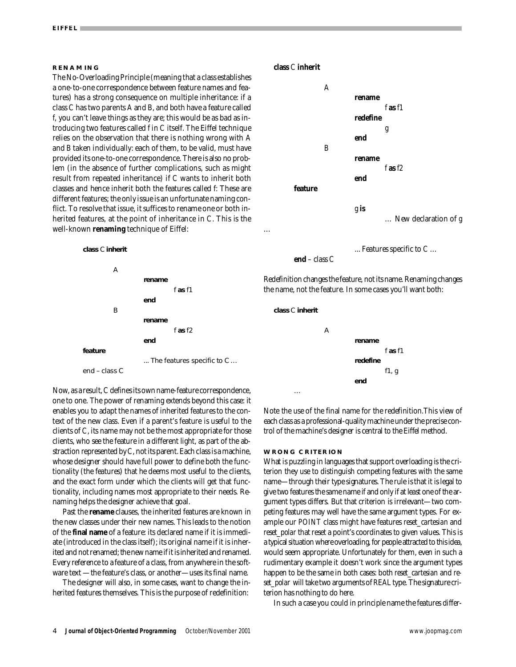#### **RENAMING**

The No-Overloading Principle (meaning that a class establishes a one-to-one correspondence between feature names and features) has a strong consequence on multiple inheritance: if a class *C* has two parents *A* and *B*, and both have a feature called *f*, you can't leave things as they are; this would be as bad as introducing two features called *f* in *C* itself. The Eiffel technique relies on the observation that there is nothing wrong with *A* and *B* taken individually: each of them, to be valid, must have provided its one-to-one correspondence. There is also no problem (in the absence of further complications, such as might result from repeated inheritance) if *C* wants to inherit both classes and hence inherit both the features called *f*: These are different features; the only issue is an unfortunate naming conflict. To resolve that issue, it suffices to rename one or both inherited features, at the point of inheritance in *C*. This is the well-known **renaming** technique of Eiffel:



**class** *C* **inherit** 



**end** – class  $C$ 

... Features specific to *C* …

Redefinition changes the feature, not its name. Renaming changes the name, not the feature. In some cases you'll want both:

**class C inherit** 

…

…



Now, as a result, *C*defines its own name-feature correspondence, one to one. The power of renaming extends beyond this case: it enables you to adapt the names of inherited features to the context of the new class. Even if a parent's feature is useful to the clients of *C*, its name may not be the most appropriate for those clients, who see the feature in a different light, as part of the abstraction represented by *C*, not its parent. Each class is a machine, whose designer should have full power to define both the functionality (the features) that he deems most useful to the clients, and the exact form under which the clients will get that functionality, including names most appropriate to their needs. Renaming helps the designer achieve that goal.

Past the **rename** clauses, the inherited features are known in the new classes under their new names. This leads to the notion of the **final name** of a feature: its declared name if it is immediate (introduced in the class itself); its original name if it is inherited and not renamed; the new name if it is inherited and renamed. Every reference to a feature of a class, from anywhere in the software text —the feature's class, or another—uses its final name.

The designer will also, in some cases, want to change the inherited features themselves. This is the purpose of redefinition:

Note the use of the final name for the redefinition.This view of each class as a professional-quality machine under the precise control of the machine's designer is central to the Eiffel method.

#### **WRONG CRITERION**

What is puzzling in languages that support overloading is the criterion they use to distinguish competing features with the same name—through their type signatures. The rule is that it is legal to give two features the same name if and only if at least one of the argument types differs. But that criterion is irrelevant—two competing features may well have the same argument types. For example our *POINT* class might have features *reset cartesian* and *reset\_polar* that reset a point's coordinates to given values. This is a typical situation where overloading, for people attracted to this idea, would seem appropriate. Unfortunately for them, even in such a rudimentary example it doesn't work since the argument types happen to be the same in both cases: both *reset cartesian* and *reset\_polar* will take two arguments of *REAL* type. The signature criterion has nothing to do here.

In such a case you could in principle name the features differ-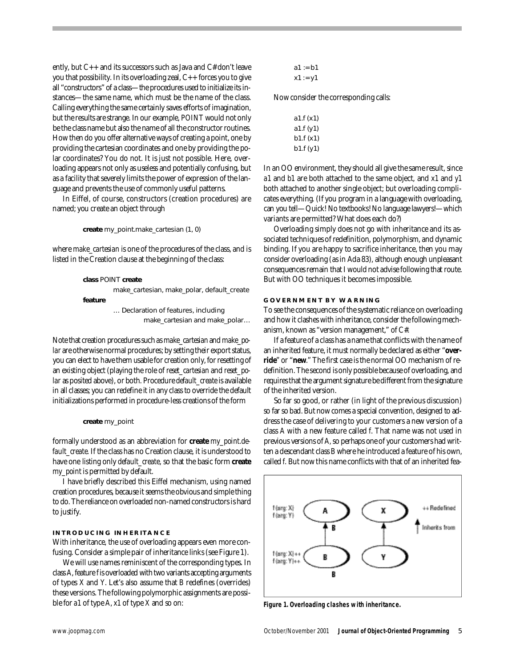ently, but C++ and its successors such as Java and C# don't leave you that possibility. In its overloading zeal, C++ forces you to give all "constructors" of a class—the procedures used to initialize its instances—the same name, which must be the name of the class. Calling everything the same certainly saves efforts of imagination, but the results are strange. In our example, *POINT* would not only be the class name but also the name of all the constructor routines. How then do you offer alternative ways of creating a point, one by providing the cartesian coordinates and one by providing the polar coordinates? You do not. It is just not possible. Here, overloading appears not only as useless and potentially confusing, but as a facility that severely limits the power of expression of the language and prevents the use of commonly useful patterns.

In Eiffel, of course, constructors (creation procedures) are named; you create an object through

create *my\_point.make\_cartesian* (1, 0)

where *make\_cartesian* is one of the procedures of the class, and is listed in the Creation clause at the beginning of the class:

```
class POINT create
         make_cartesian, make_polar, default_create
feature
         … Declaration of features, including 
                   make_cartesian and make_polar...
```
Note that creation procedures such as *make\_cartesian* and *make\_polar* are otherwise normal procedures; by setting their export status, you can elect to have them usable for creation only, for resetting of an existing object (playing the role of *reset\_cartesian* and *reset\_polar* as posited above), or both. Procedure *default create* is available in all classes; you can redefine it in any class to override the default initializations performed in procedure-less creations of the form

```
create my_point
```
formally understood as an abbreviation for **create**  $my\_point.de$ *fault create.* If the class has no Creation clause, it is understood to have one listing only *default\_create*, so that the basic form **create** my\_point is permitted by default.

I have briefly described this Eiffel mechanism, using named creation procedures, because it seems the obvious and simple thing to do. The reliance on overloaded non-named constructors is hard to justify.

## **INTRODUCING INHERITANCE**

With inheritance, the use of overloading appears even more confusing. Consider a simple pair of inheritance links (see Figure 1).

We will use names reminiscent of the corresponding types. In class *A*, feature *f*is overloaded with two variants accepting arguments of types *X* and *Y*. Let's also assume that *B* redefines (overrides) these versions. The following polymorphic assignments are possible for *a 1* of type *A*, *x 1* of type *X* and so on:

```
a1 := b1
x1 := y1
```
Now consider the corresponding calls:

| a1.f (x1) |  |
|-----------|--|
| a1.f (y1) |  |
| b1.f (x1) |  |
| b1.f (y1) |  |

In an OO environment, they should all give the same result, since *a1* and *b1* are both attached to the same object, and *x1* and *y1* both attached to another single object; but overloading complicates everything. (If you program in a language with overloading, can you tell—Quick! No textbooks! No language lawyers!—which variants are permitted? What does each do?)

Overloading simply does not go with inheritance and its associated techniques of redefinition, polymorphism, and dynamic binding. If you are happy to sacrifice inheritance, then you may consider overloading (as in Ada 83), although enough unpleasant consequences remain that I would not advise following that route. But with OO techniques it becomes impossible.

### **GOVERNMENT BY WARNING**

To see the consequences of the systematic reliance on overloading and how it clashes with inheritance, consider the following mechanism, known as "version management," of C#.

If a feature of a class has a name that conflicts with the name of an inherited feature, it must normally be declared as either "override" or "new." The first case is the normal OO mechanism of redefinition. The second is only possible because of overloading, and requires that the argument signature be different from the signature of the inherited version.

So far so good, or rather (in light of the previous discussion) so far so bad. But now comes a special convention, designed to address the case of delivering to your customers a new version of a class *A* with a new feature called *f*. That name was not used in previous versions of *A ,*so perhaps one of your customers had written a descendant class *B* where he introduced a feature of his own, called *f*. But now this name conflicts with that of an inherited fea-



**Figure 1. Overloading clashes with inheritance.**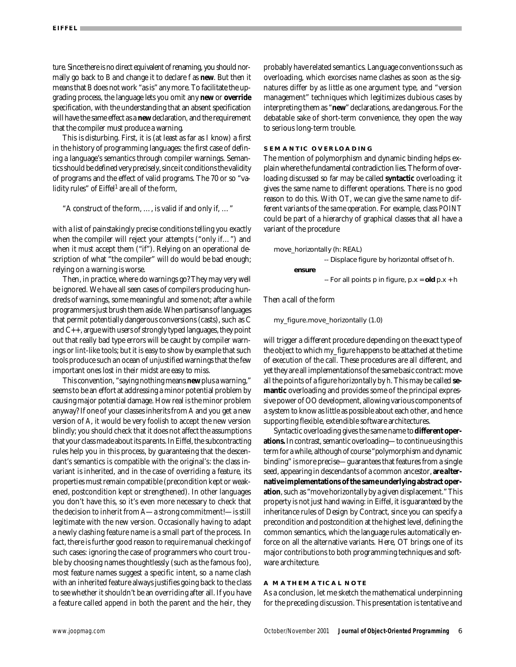ture. Since there is no direct equivalent of renaming, you should normally go back to *B* and change it to declare *f* as **new**. But then it means that *B* does not work "as is" any more. To facilitate the upgrading process, the language lets you omit any **new** or **override** specification, with the understanding that an absent specification will have the same effect as a new declaration, and the requirement that the compiler must produce a warning.

This is disturbing. First, it is (at least as far as I know) a first in the history of programming languages: the first case of defining a language's semantics through compiler warnings. Semantics should be defined very precisely, since it conditions the validity of programs and the effect of valid programs. The 70 or so "validity rules" of Eiffel<sup>1</sup> are all of the form,

"A construct of the form, …, is valid if and only if, …"

with a list of painstakingly precise conditions telling you exactly when the compiler will reject your attempts ("only if…") and when it *must* accept them ("if"). Relying on an operational description of what "the compiler" will do would be bad enough; relying on a warning is worse.

Then, in practice, where do warnings go? They may very well be ignored. We have all seen cases of compilers producing hundreds of warnings, some meaningful and some not; after a while programmers just brush them aside. When partisans of languages that permit potentially dangerous conversions (casts), such as C and C++, argue with users of strongly typed languages, they point out that really bad type errors will be caught by compiler warnings or *lint*-like tools; but it is easy to show by example that such tools produce such an ocean of unjustified warnings that the few important ones lost in their midst are easy to miss.

This convention, "saying nothing means **new** plus a warning," seems to be an effort at addressing a minor potential problem by causing major potential damage. How real is the minor problem anyway? If one of your classes inherits from *A* and you get a new version of *A*, it would be very foolish to accept the new version blindly; you should check that it does not affect the assumptions that your class made about its parents. In Eiffel, the subcontracting rules help you in this process, by guaranteeing that the descendant's semantics is compatible with the original's: the class invariant is inherited, and in the case of overriding a feature, its properties must remain compatible (precondition kept or weakened, postcondition kept or strengthened). In other languages you don't have this, so it's even more necessary to check that the decision to inherit from *A*—a strong commitment!—is still legitimate with the new version. Occasionally having to adapt a newly clashing feature name is a small part of the process. In fact, there is further good reason to require manual checking of such cases: ignoring the case of programmers who court trouble by choosing names thoughtlessly (such as the famous *foo*), most feature names suggest a specific intent, so a name clash with an inherited feature always justifies going back to the class to see whether it shouldn't be an overriding after all. If you have a feature called *append* in both the parent and the heir, they probably have related semantics. Language conventions such as overloading, which exorcises name clashes as soon as the signatures differ by as little as one argument type, and "version management" techniques which legitimizes dubious cases by interpreting them as "new" declarations, are dangerous. For the debatable sake of short-term convenience, they open the way to serious long-term trouble.

## **SEMANTIC OVERLOADING**

The mention of polymorphism and dynamic binding helps explain where the fundamental contradiction lies. The form of overloading discussed so far may be called **syntactic** overloading; it gives the same name to different operations. There is no good reason to do this. With OT, we can give the same name to different variants of the *same operation*. For example, class *POINT* could be part of a hierarchy of graphical classes that all have a variant of the procedure

*move\_horizontally* (*h: REAL*) -- Displace figure by horizontal offset of *h*. **e n s u r e**  $-$  For all points p in figure,  $p.x =$  old  $p.x + h$ 

Then a call of the form

*my\_figure.move\_horizontally (1.0)*

will trigger a different procedure depending on the exact type of the object to which *my\_figure* happens to be attached at the time of execution of the call. These procedures are all different, and yet they are all implementations of the same basic contract: move all the points of a figure horizontally by *h*. This may be called se**mantic** overloading and provides some of the principal expressive power of OO development, allowing various components of a system to know as little as possible about each other, and hence supporting flexible, extendible software architectures.

Syntactic overloading gives the same name to**different oper**ations. In contrast, semantic overloading-to continue using this term for a while, although of course "polymorphism and dynamic binding" is more precise—guarantees that features from a single seed, appearing in descendants of a common ancestor, **are alternative implementations of the same underlying abstract oper**ation, such as "move horizontally by a given displacement." This property is not just hand waving: in Eiffel, it is guaranteed by the inheritance rules of Design by Contract, since you can specify a precondition and postcondition at the highest level, defining the common semantics, which the language rules automatically enforce on all the alternative variants. Here, OT brings one of its major contributions to both programming techniques and software architecture.

## **A MATHEMATICAL NOTE**

As a conclusion, let me sketch the mathematical underpinning for the preceding discussion. This presentation is tentative and